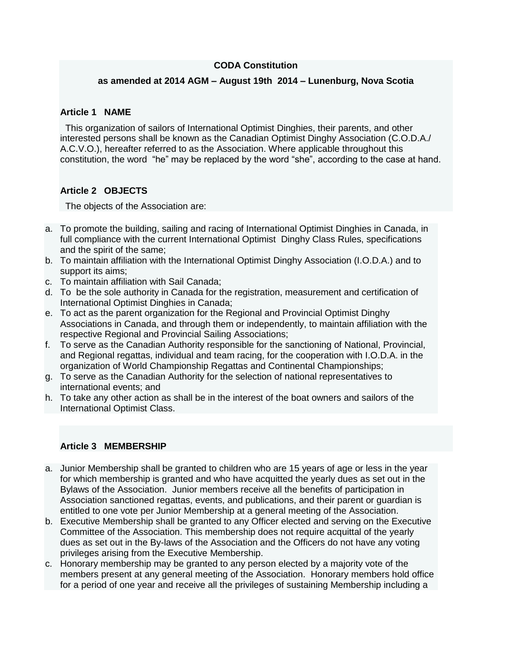### **CODA Constitution**

#### **as amended at 2014 AGM – August 19th 2014 – Lunenburg, Nova Scotia**

#### **Article 1 NAME**

This organization of sailors of International Optimist Dinghies, their parents, and other interested persons shall be known as the Canadian Optimist Dinghy Association (C.O.D.A./ A.C.V.O.), hereafter referred to as the Association. Where applicable throughout this constitution, the word "he" may be replaced by the word "she", according to the case at hand.

# **Article 2 OBJECTS**

The objects of the Association are:

- a. To promote the building, sailing and racing of International Optimist Dinghies in Canada, in full compliance with the current International Optimist Dinghy Class Rules, specifications and the spirit of the same;
- b. To maintain affiliation with the International Optimist Dinghy Association (I.O.D.A.) and to support its aims;
- c. To maintain affiliation with Sail Canada;
- d. To be the sole authority in Canada for the registration, measurement and certification of International Optimist Dinghies in Canada;
- e. To act as the parent organization for the Regional and Provincial Optimist Dinghy Associations in Canada, and through them or independently, to maintain affiliation with the respective Regional and Provincial Sailing Associations;
- f. To serve as the Canadian Authority responsible for the sanctioning of National, Provincial, and Regional regattas, individual and team racing, for the cooperation with I.O.D.A. in the organization of World Championship Regattas and Continental Championships;
- g. To serve as the Canadian Authority for the selection of national representatives to international events; and
- h. To take any other action as shall be in the interest of the boat owners and sailors of the International Optimist Class.

# **Article 3 MEMBERSHIP**

- a. Junior Membership shall be granted to children who are 15 years of age or less in the year for which membership is granted and who have acquitted the yearly dues as set out in the Bylaws of the Association. Junior members receive all the benefits of participation in Association sanctioned regattas, events, and publications, and their parent or guardian is entitled to one vote per Junior Membership at a general meeting of the Association.
- b. Executive Membership shall be granted to any Officer elected and serving on the Executive Committee of the Association. This membership does not require acquittal of the yearly dues as set out in the By-laws of the Association and the Officers do not have any voting privileges arising from the Executive Membership.
- c. Honorary membership may be granted to any person elected by a majority vote of the members present at any general meeting of the Association. Honorary members hold office for a period of one year and receive all the privileges of sustaining Membership including a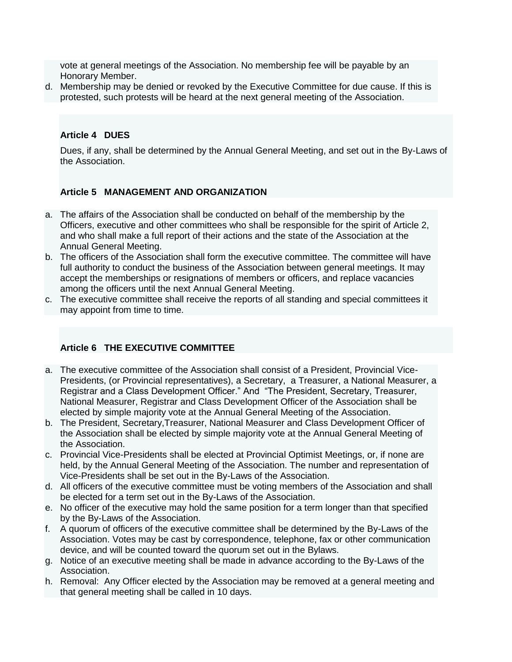vote at general meetings of the Association. No membership fee will be payable by an Honorary Member.

d. Membership may be denied or revoked by the Executive Committee for due cause. If this is protested, such protests will be heard at the next general meeting of the Association.

# **Article 4 DUES**

Dues, if any, shall be determined by the Annual General Meeting, and set out in the By-Laws of the Association.

# **Article 5 MANAGEMENT AND ORGANIZATION**

- a. The affairs of the Association shall be conducted on behalf of the membership by the Officers, executive and other committees who shall be responsible for the spirit of Article 2, and who shall make a full report of their actions and the state of the Association at the Annual General Meeting.
- b. The officers of the Association shall form the executive committee. The committee will have full authority to conduct the business of the Association between general meetings. It may accept the memberships or resignations of members or officers, and replace vacancies among the officers until the next Annual General Meeting.
- c. The executive committee shall receive the reports of all standing and special committees it may appoint from time to time.

### **Article 6 THE EXECUTIVE COMMITTEE**

- a. The executive committee of the Association shall consist of a President, Provincial Vice-Presidents, (or Provincial representatives), a Secretary, a Treasurer, a National Measurer, a Registrar and a Class Development Officer." And "The President, Secretary, Treasurer, National Measurer, Registrar and Class Development Officer of the Association shall be elected by simple majority vote at the Annual General Meeting of the Association.
- b. The President, Secretary,Treasurer, National Measurer and Class Development Officer of the Association shall be elected by simple majority vote at the Annual General Meeting of the Association.
- c. Provincial Vice-Presidents shall be elected at Provincial Optimist Meetings, or, if none are held, by the Annual General Meeting of the Association. The number and representation of Vice-Presidents shall be set out in the By-Laws of the Association.
- d. All officers of the executive committee must be voting members of the Association and shall be elected for a term set out in the By-Laws of the Association.
- e. No officer of the executive may hold the same position for a term longer than that specified by the By-Laws of the Association.
- f. A quorum of officers of the executive committee shall be determined by the By-Laws of the Association. Votes may be cast by correspondence, telephone, fax or other communication device, and will be counted toward the quorum set out in the Bylaws.
- g. Notice of an executive meeting shall be made in advance according to the By-Laws of the Association.
- h. Removal: Any Officer elected by the Association may be removed at a general meeting and that general meeting shall be called in 10 days.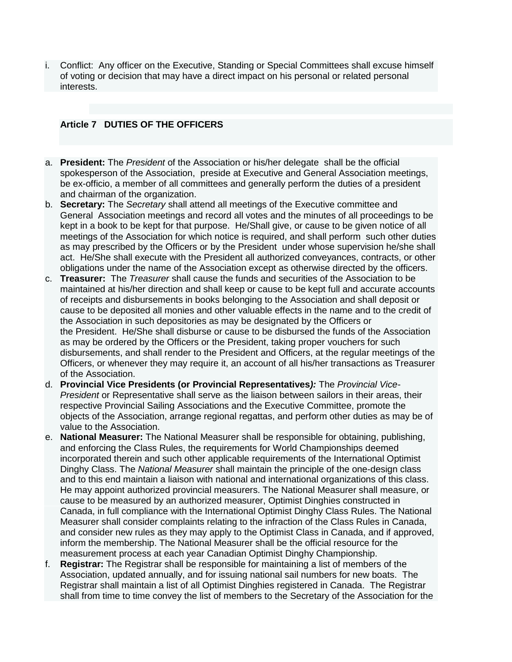i. Conflict: Any officer on the Executive, Standing or Special Committees shall excuse himself of voting or decision that may have a direct impact on his personal or related personal interests.

## **Article 7 DUTIES OF THE OFFICERS**

- a. **President:** The *President* of the Association or his/her delegate shall be the official spokesperson of the Association, preside at Executive and General Association meetings, be ex-officio, a member of all committees and generally perform the duties of a president and chairman of the organization.
- b. **Secretary:** The *Secretary* shall attend all meetings of the Executive committee and General Association meetings and record all votes and the minutes of all proceedings to be kept in a book to be kept for that purpose. He/Shall give, or cause to be given notice of all meetings of the Association for which notice is required, and shall perform such other duties as may prescribed by the Officers or by the President under whose supervision he/she shall act. He/She shall execute with the President all authorized conveyances, contracts, or other obligations under the name of the Association except as otherwise directed by the officers.
- c. **Treasurer:** The *Treasurer* shall cause the funds and securities of the Association to be maintained at his/her direction and shall keep or cause to be kept full and accurate accounts of receipts and disbursements in books belonging to the Association and shall deposit or cause to be deposited all monies and other valuable effects in the name and to the credit of the Association in such depositories as may be designated by the Officers or the President. He/She shall disburse or cause to be disbursed the funds of the Association as may be ordered by the Officers or the President, taking proper vouchers for such disbursements, and shall render to the President and Officers, at the regular meetings of the Officers, or whenever they may require it, an account of all his/her transactions as Treasurer of the Association.
- d. **Provincial Vice Presidents (or Provincial Representatives***):* The *Provincial Vice-President* or Representative shall serve as the liaison between sailors in their areas, their respective Provincial Sailing Associations and the Executive Committee, promote the objects of the Association, arrange regional regattas, and perform other duties as may be of value to the Association.
- e. **National Measurer:** The National Measurer shall be responsible for obtaining, publishing, and enforcing the Class Rules, the requirements for World Championships deemed incorporated therein and such other applicable requirements of the International Optimist Dinghy Class. The *National Measurer* shall maintain the principle of the one-design class and to this end maintain a liaison with national and international organizations of this class. He may appoint authorized provincial measurers. The National Measurer shall measure, or cause to be measured by an authorized measurer, Optimist Dinghies constructed in Canada, in full compliance with the International Optimist Dinghy Class Rules. The National Measurer shall consider complaints relating to the infraction of the Class Rules in Canada, and consider new rules as they may apply to the Optimist Class in Canada, and if approved, inform the membership. The National Measurer shall be the official resource for the measurement process at each year Canadian Optimist Dinghy Championship.
- f. **Registrar:** The Registrar shall be responsible for maintaining a list of members of the Association, updated annually, and for issuing national sail numbers for new boats. The Registrar shall maintain a list of all Optimist Dinghies registered in Canada. The Registrar shall from time to time convey the list of members to the Secretary of the Association for the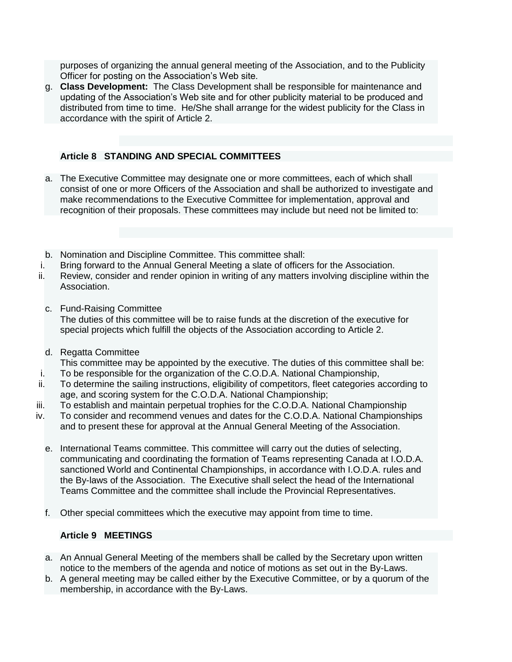purposes of organizing the annual general meeting of the Association, and to the Publicity Officer for posting on the Association's Web site.

g. **Class Development:** The Class Development shall be responsible for maintenance and updating of the Association's Web site and for other publicity material to be produced and distributed from time to time. He/She shall arrange for the widest publicity for the Class in accordance with the spirit of Article 2.

## **Article 8 STANDING AND SPECIAL COMMITTEES**

- a. The Executive Committee may designate one or more committees, each of which shall consist of one or more Officers of the Association and shall be authorized to investigate and make recommendations to the Executive Committee for implementation, approval and recognition of their proposals. These committees may include but need not be limited to:
- b. Nomination and Discipline Committee. This committee shall:
- i. Bring forward to the Annual General Meeting a slate of officers for the Association.
- ii. Review, consider and render opinion in writing of any matters involving discipline within the Association.
	- c. Fund-Raising Committee The duties of this committee will be to raise funds at the discretion of the executive for special projects which fulfill the objects of the Association according to Article 2.
- d. Regatta Committee

This committee may be appointed by the executive. The duties of this committee shall be:

- i. To be responsible for the organization of the C.O.D.A. National Championship,
- ii. To determine the sailing instructions, eligibility of competitors, fleet categories according to age, and scoring system for the C.O.D.A. National Championship;
- iii. To establish and maintain perpetual trophies for the C.O.D.A. National Championship
- iv. To consider and recommend venues and dates for the C.O.D.A. National Championships and to present these for approval at the Annual General Meeting of the Association.
	- e. International Teams committee. This committee will carry out the duties of selecting, communicating and coordinating the formation of Teams representing Canada at I.O.D.A. sanctioned World and Continental Championships, in accordance with I.O.D.A. rules and the By-laws of the Association. The Executive shall select the head of the International Teams Committee and the committee shall include the Provincial Representatives.
	- f. Other special committees which the executive may appoint from time to time.

# **Article 9 MEETINGS**

- a. An Annual General Meeting of the members shall be called by the Secretary upon written notice to the members of the agenda and notice of motions as set out in the By-Laws.
- b. A general meeting may be called either by the Executive Committee, or by a quorum of the membership, in accordance with the By-Laws.